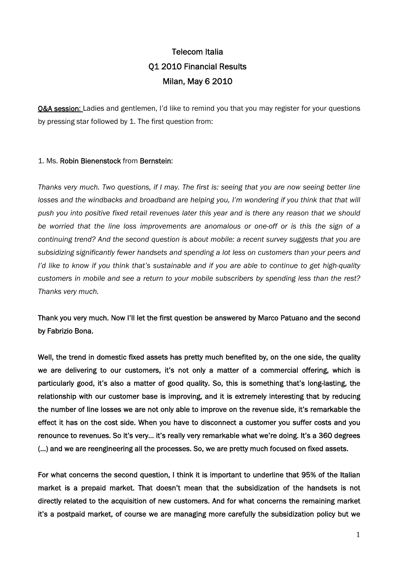# Telecom Italia Q1 2010 Financial Results Milan, May 6 2010

**O&A session:** Ladies and gentlemen, I'd like to remind you that you may register for your questions by pressing star followed by 1. The first question from:

## 1. Ms. Robin Bienenstock from Bernstein:

*Thanks very much. Two questions, if I may. The first is: seeing that you are now seeing better line losses and the windbacks and broadband are helping you, I'm wondering if you think that that will push you into positive fixed retail revenues later this year and is there any reason that we should be worried that the line loss improvements are anomalous or one-off or is this the sign of a continuing trend? And the second question is about mobile: a recent survey suggests that you are subsidizing significantly fewer handsets and spending a lot less on customers than your peers and I'd like to know if you think that's sustainable and if you are able to continue to get high-quality customers in mobile and see a return to your mobile subscribers by spending less than the rest? Thanks very much.* 

Thank you very much. Now I'll let the first question be answered by Marco Patuano and the second by Fabrizio Bona.

Well, the trend in domestic fixed assets has pretty much benefited by, on the one side, the quality we are delivering to our customers, it's not only a matter of a commercial offering, which is particularly good, it's also a matter of good quality. So, this is something that's long-lasting, the relationship with our customer base is improving, and it is extremely interesting that by reducing the number of line losses we are not only able to improve on the revenue side, it's remarkable the effect it has on the cost side. When you have to disconnect a customer you suffer costs and you renounce to revenues. So it's very… it's really very remarkable what we're doing. It's a 360 degrees (…) and we are reengineering all the processes. So, we are pretty much focused on fixed assets.

For what concerns the second question, I think it is important to underline that 95% of the Italian market is a prepaid market. That doesn't mean that the subsidization of the handsets is not directly related to the acquisition of new customers. And for what concerns the remaining market it's a postpaid market, of course we are managing more carefully the subsidization policy but we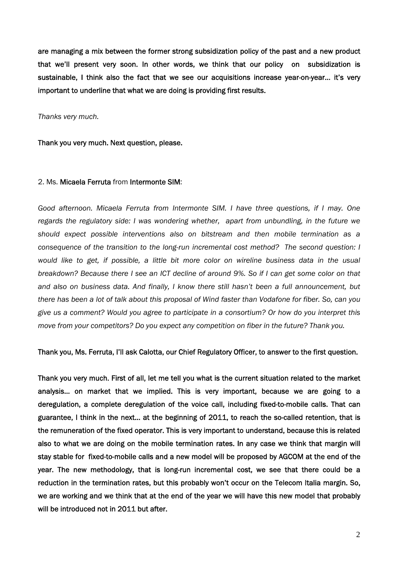are managing a mix between the former strong subsidization policy of the past and a new product that we'll present very soon. In other words, we think that our policy on subsidization is sustainable, I think also the fact that we see our acquisitions increase year-on-year… it's very important to underline that what we are doing is providing first results.

*Thanks very much.* 

Thank you very much. Next question, please.

#### 2. Ms. Micaela Ferruta from Intermonte SIM:

*Good afternoon. Micaela Ferruta from Intermonte SIM. I have three questions, if I may. One regards the regulatory side: I was wondering whether, apart from unbundling, in the future we should expect possible interventions also on bitstream and then mobile termination as a consequence of the transition to the long-run incremental cost method? The second question: I*  would like to get, if possible, a little bit more color on wireline business data in the usual *breakdown? Because there I see an ICT decline of around 9%. So if I can get some color on that and also on business data. And finally, I know there still hasn't been a full announcement, but there has been a lot of talk about this proposal of Wind faster than Vodafone for fiber. So, can you give us a comment? Would you agree to participate in a consortium? Or how do you interpret this move from your competitors? Do you expect any competition on fiber in the future? Thank you.* 

#### Thank you, Ms. Ferruta, I'll ask Calotta, our Chief Regulatory Officer, to answer to the first question.

Thank you very much. First of all, let me tell you what is the current situation related to the market analysis… on market that we implied. This is very important, because we are going to a deregulation, a complete deregulation of the voice call, including fixed-to-mobile calls. That can guarantee, I think in the next… at the beginning of 2011, to reach the so-called retention, that is the remuneration of the fixed operator. This is very important to understand, because this is related also to what we are doing on the mobile termination rates. In any case we think that margin will stay stable for fixed-to-mobile calls and a new model will be proposed by AGCOM at the end of the year. The new methodology, that is long-run incremental cost, we see that there could be a reduction in the termination rates, but this probably won't occur on the Telecom Italia margin. So, we are working and we think that at the end of the year we will have this new model that probably will be introduced not in 2011 but after.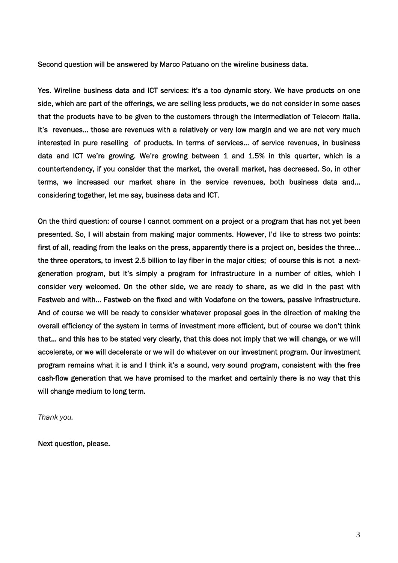Second question will be answered by Marco Patuano on the wireline business data.

Yes. Wireline business data and ICT services: it's a too dynamic story. We have products on one side, which are part of the offerings, we are selling less products, we do not consider in some cases that the products have to be given to the customers through the intermediation of Telecom Italia. It's revenues... those are revenues with a relatively or very low margin and we are not very much interested in pure reselling of products. In terms of services… of service revenues, in business data and ICT we're growing. We're growing between 1 and 1.5% in this quarter, which is a countertendency, if you consider that the market, the overall market, has decreased. So, in other terms, we increased our market share in the service revenues, both business data and… considering together, let me say, business data and ICT.

On the third question: of course I cannot comment on a project or a program that has not yet been presented. So, I will abstain from making major comments. However, I'd like to stress two points: first of all, reading from the leaks on the press, apparently there is a project on, besides the three… the three operators, to invest 2.5 billion to lay fiber in the major cities; of course this is not a nextgeneration program, but it's simply a program for infrastructure in a number of cities, which I consider very welcomed. On the other side, we are ready to share, as we did in the past with Fastweb and with… Fastweb on the fixed and with Vodafone on the towers, passive infrastructure. And of course we will be ready to consider whatever proposal goes in the direction of making the overall efficiency of the system in terms of investment more efficient, but of course we don't think that… and this has to be stated very clearly, that this does not imply that we will change, or we will accelerate, or we will decelerate or we will do whatever on our investment program. Our investment program remains what it is and I think it's a sound, very sound program, consistent with the free cash-flow generation that we have promised to the market and certainly there is no way that this will change medium to long term.

*Thank you.* 

Next question, please.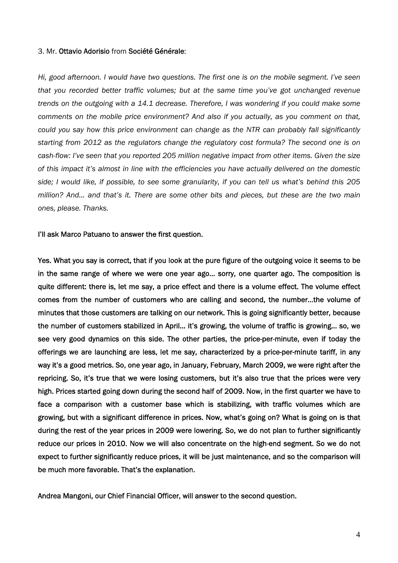#### 3. Mr. Ottavio Adorisio from Société Générale:

*Hi, good afternoon. I would have two questions. The first one is on the mobile segment. I've seen that you recorded better traffic volumes; but at the same time you've got unchanged revenue trends on the outgoing with a 14.1 decrease. Therefore, I was wondering if you could make some comments on the mobile price environment? And also if you actually, as you comment on that, could you say how this price environment can change as the NTR can probably fall significantly starting from 2012 as the regulators change the regulatory cost formula? The second one is on cash-flow: I've seen that you reported 205 million negative impact from other items. Given the size of this impact it's almost in line with the efficiencies you have actually delivered on the domestic side; I would like, if possible, to see some granularity, if you can tell us what's behind this 205 million? And… and that's it. There are some other bits and pieces, but these are the two main ones, please. Thanks.* 

#### I'll ask Marco Patuano to answer the first question.

Yes. What you say is correct, that if you look at the pure figure of the outgoing voice it seems to be in the same range of where we were one year ago… sorry, one quarter ago. The composition is quite different: there is, let me say, a price effect and there is a volume effect. The volume effect comes from the number of customers who are calling and second, the number…the volume of minutes that those customers are talking on our network. This is going significantly better, because the number of customers stabilized in April… it's growing, the volume of traffic is growing… so, we see very good dynamics on this side. The other parties, the price-per-minute, even if today the offerings we are launching are less, let me say, characterized by a price-per-minute tariff, in any way it's a good metrics. So, one year ago, in January, February, March 2009, we were right after the repricing. So, it's true that we were losing customers, but it's also true that the prices were very high. Prices started going down during the second half of 2009. Now, in the first quarter we have to face a comparison with a customer base which is stabilizing, with traffic volumes which are growing, but with a significant difference in prices. Now, what's going on? What is going on is that during the rest of the year prices in 2009 were lowering. So, we do not plan to further significantly reduce our prices in 2010. Now we will also concentrate on the high-end segment. So we do not expect to further significantly reduce prices, it will be just maintenance, and so the comparison will be much more favorable. That's the explanation.

Andrea Mangoni, our Chief Financial Officer, will answer to the second question.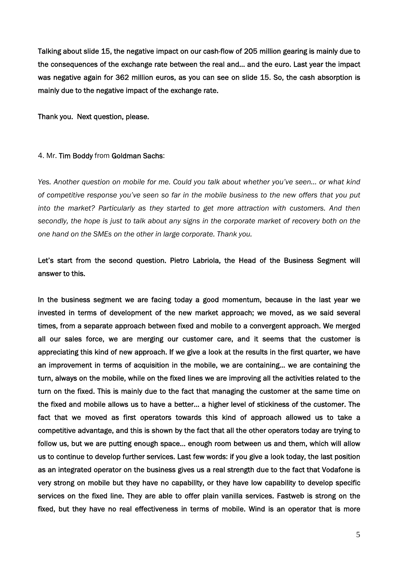Talking about slide 15, the negative impact on our cash-flow of 205 million gearing is mainly due to the consequences of the exchange rate between the real and… and the euro. Last year the impact was negative again for 362 million euros, as you can see on slide 15. So, the cash absorption is mainly due to the negative impact of the exchange rate.

Thank you. Next question, please.

#### 4. Mr. Tim Boddy from Goldman Sachs:

*Yes. Another question on mobile for me. Could you talk about whether you've seen… or what kind of competitive response you've seen so far in the mobile business to the new offers that you put into the market? Particularly as they started to get more attraction with customers. And then secondly, the hope is just to talk about any signs in the corporate market of recovery both on the one hand on the SMEs on the other in large corporate. Thank you.* 

## Let's start from the second question. Pietro Labriola, the Head of the Business Segment will answer to this.

In the business segment we are facing today a good momentum, because in the last year we invested in terms of development of the new market approach; we moved, as we said several times, from a separate approach between fixed and mobile to a convergent approach. We merged all our sales force, we are merging our customer care, and it seems that the customer is appreciating this kind of new approach. If we give a look at the results in the first quarter, we have an improvement in terms of acquisition in the mobile, we are containing… we are containing the turn, always on the mobile, while on the fixed lines we are improving all the activities related to the turn on the fixed. This is mainly due to the fact that managing the customer at the same time on the fixed and mobile allows us to have a better… a higher level of stickiness of the customer. The fact that we moved as first operators towards this kind of approach allowed us to take a competitive advantage, and this is shown by the fact that all the other operators today are trying to follow us, but we are putting enough space… enough room between us and them, which will allow us to continue to develop further services. Last few words: if you give a look today, the last position as an integrated operator on the business gives us a real strength due to the fact that Vodafone is very strong on mobile but they have no capability, or they have low capability to develop specific services on the fixed line. They are able to offer plain vanilla services. Fastweb is strong on the fixed, but they have no real effectiveness in terms of mobile. Wind is an operator that is more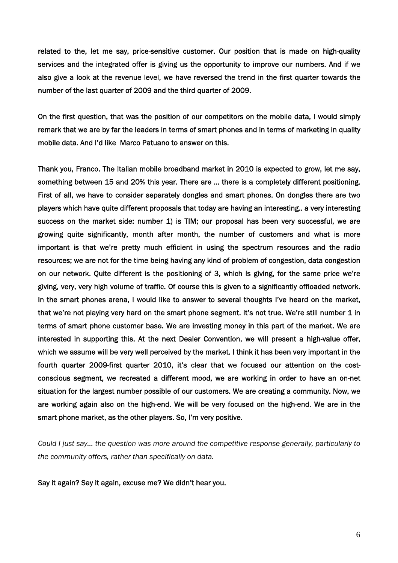related to the, let me say, price-sensitive customer. Our position that is made on high-quality services and the integrated offer is giving us the opportunity to improve our numbers. And if we also give a look at the revenue level, we have reversed the trend in the first quarter towards the number of the last quarter of 2009 and the third quarter of 2009.

On the first question, that was the position of our competitors on the mobile data, I would simply remark that we are by far the leaders in terms of smart phones and in terms of marketing in quality mobile data. And I'd like Marco Patuano to answer on this.

Thank you, Franco. The Italian mobile broadband market in 2010 is expected to grow, let me say, something between 15 and 20% this year. There are … there is a completely different positioning. First of all, we have to consider separately dongles and smart phones. On dongles there are two players which have quite different proposals that today are having an interesting.. a very interesting success on the market side: number 1) is TIM; our proposal has been very successful, we are growing quite significantly, month after month, the number of customers and what is more important is that we're pretty much efficient in using the spectrum resources and the radio resources; we are not for the time being having any kind of problem of congestion, data congestion on our network. Quite different is the positioning of 3, which is giving, for the same price we're giving, very, very high volume of traffic. Of course this is given to a significantly offloaded network. In the smart phones arena, I would like to answer to several thoughts I've heard on the market, that we're not playing very hard on the smart phone segment. It's not true. We're still number 1 in terms of smart phone customer base. We are investing money in this part of the market. We are interested in supporting this. At the next Dealer Convention, we will present a high-value offer, which we assume will be very well perceived by the market. I think it has been very important in the fourth quarter 2009-first quarter 2010, it's clear that we focused our attention on the costconscious segment, we recreated a different mood, we are working in order to have an on-net situation for the largest number possible of our customers. We are creating a community. Now, we are working again also on the high-end. We will be very focused on the high-end. We are in the smart phone market, as the other players. So, I'm very positive.

*Could I just say… the question was more around the competitive response generally, particularly to the community offers, rather than specifically on data.* 

Say it again? Say it again, excuse me? We didn't hear you.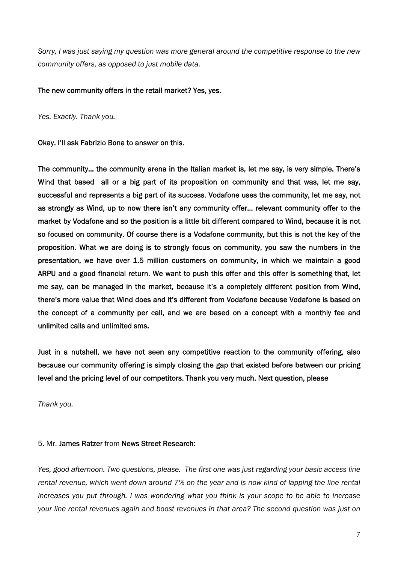*Sorry, I was just saying my question was more general around the competitive response to the new community offers, as opposed to just mobile data.* 

## The new community offers in the retail market? Yes, yes.

*Yes. Exactly. Thank you.* 

Okay. I'll ask Fabrizio Bona to answer on this.

The community… the community arena in the Italian market is, let me say, is very simple. There's Wind that based all or a big part of its proposition on community and that was, let me say, successful and represents a big part of its success. Vodafone uses the community, let me say, not as strongly as Wind, up to now there isn't any community offer… relevant community offer to the market by Vodafone and so the position is a little bit different compared to Wind, because it is not so focused on community. Of course there is a Vodafone community, but this is not the key of the proposition. What we are doing is to strongly focus on community, you saw the numbers in the presentation, we have over 1.5 million customers on community, in which we maintain a good ARPU and a good financial return. We want to push this offer and this offer is something that, let me say, can be managed in the market, because it's a completely different position from Wind, there's more value that Wind does and it's different from Vodafone because Vodafone is based on the concept of a community per call, and we are based on a concept with a monthly fee and unlimited calls and unlimited sms.

Just in a nutshell, we have not seen any competitive reaction to the community offering, also because our community offering is simply closing the gap that existed before between our pricing level and the pricing level of our competitors. Thank you very much. Next question, please

*Thank you.* 

## 5. Mr. James Ratzer from News Street Research:

*Yes, good afternoon. Two questions, please. The first one was just regarding your basic access line rental revenue, which went down around 7% on the year and is now kind of lapping the line rental increases you put through. I was wondering what you think is your scope to be able to increase your line rental revenues again and boost revenues in that area? The second question was just on*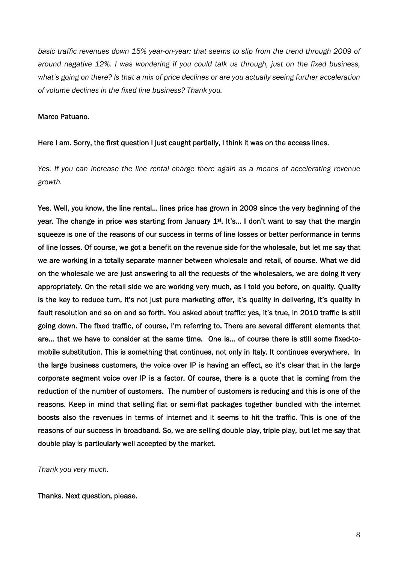*basic traffic revenues down 15% year-on-year: that seems to slip from the trend through 2009 of around negative 12%. I was wondering if you could talk us through, just on the fixed business, what's going on there? Is that a mix of price declines or are you actually seeing further acceleration of volume declines in the fixed line business? Thank you.* 

## Marco Patuano.

## Here I am. Sorry, the first question I just caught partially, I think it was on the access lines.

*Yes. If you can increase the line rental charge there again as a means of accelerating revenue growth.* 

Yes. Well, you know, the line rental… lines price has grown in 2009 since the very beginning of the year. The change in price was starting from January  $1<sup>st</sup>$ . It's... I don't want to say that the margin squeeze is one of the reasons of our success in terms of line losses or better performance in terms of line losses. Of course, we got a benefit on the revenue side for the wholesale, but let me say that we are working in a totally separate manner between wholesale and retail, of course. What we did on the wholesale we are just answering to all the requests of the wholesalers, we are doing it very appropriately. On the retail side we are working very much, as I told you before, on quality. Quality is the key to reduce turn, it's not just pure marketing offer, it's quality in delivering, it's quality in fault resolution and so on and so forth. You asked about traffic: yes, it's true, in 2010 traffic is still going down. The fixed traffic, of course, I'm referring to. There are several different elements that are… that we have to consider at the same time. One is… of course there is still some fixed-tomobile substitution. This is something that continues, not only in Italy. It continues everywhere. In the large business customers, the voice over IP is having an effect, so it's clear that in the large corporate segment voice over IP is a factor. Of course, there is a quote that is coming from the reduction of the number of customers. The number of customers is reducing and this is one of the reasons. Keep in mind that selling flat or semi-flat packages together bundled with the internet boosts also the revenues in terms of internet and it seems to hit the traffic. This is one of the reasons of our success in broadband. So, we are selling double play, triple play, but let me say that double play is particularly well accepted by the market.

*Thank you very much.* 

## Thanks. Next question, please.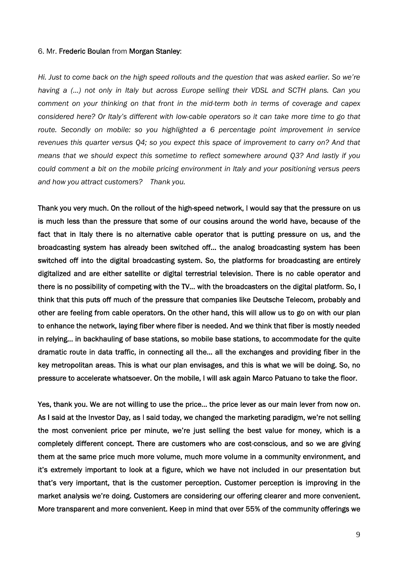#### 6. Mr. Frederic Boulan from Morgan Stanley:

*Hi. Just to come back on the high speed rollouts and the question that was asked earlier. So we're having a (…) not only in Italy but across Europe selling their VDSL and SCTH plans. Can you comment on your thinking on that front in the mid-term both in terms of coverage and capex considered here? Or Italy's different with low-cable operators so it can take more time to go that route. Secondly on mobile: so you highlighted a 6 percentage point improvement in service revenues this quarter versus Q4; so you expect this space of improvement to carry on? And that means that we should expect this sometime to reflect somewhere around Q3? And lastly if you could comment a bit on the mobile pricing environment in Italy and your positioning versus peers and how you attract customers? Thank you.* 

Thank you very much. On the rollout of the high-speed network, I would say that the pressure on us is much less than the pressure that some of our cousins around the world have, because of the fact that in Italy there is no alternative cable operator that is putting pressure on us, and the broadcasting system has already been switched off… the analog broadcasting system has been switched off into the digital broadcasting system. So, the platforms for broadcasting are entirely digitalized and are either satellite or digital terrestrial television. There is no cable operator and there is no possibility of competing with the TV… with the broadcasters on the digital platform. So, I think that this puts off much of the pressure that companies like Deutsche Telecom, probably and other are feeling from cable operators. On the other hand, this will allow us to go on with our plan to enhance the network, laying fiber where fiber is needed. And we think that fiber is mostly needed in relying… in backhauling of base stations, so mobile base stations, to accommodate for the quite dramatic route in data traffic, in connecting all the… all the exchanges and providing fiber in the key metropolitan areas. This is what our plan envisages, and this is what we will be doing. So, no pressure to accelerate whatsoever. On the mobile, I will ask again Marco Patuano to take the floor.

Yes, thank you. We are not willing to use the price… the price lever as our main lever from now on. As I said at the Investor Day, as I said today, we changed the marketing paradigm, we're not selling the most convenient price per minute, we're just selling the best value for money, which is a completely different concept. There are customers who are cost-conscious, and so we are giving them at the same price much more volume, much more volume in a community environment, and it's extremely important to look at a figure, which we have not included in our presentation but that's very important, that is the customer perception. Customer perception is improving in the market analysis we're doing. Customers are considering our offering clearer and more convenient. More transparent and more convenient. Keep in mind that over 55% of the community offerings we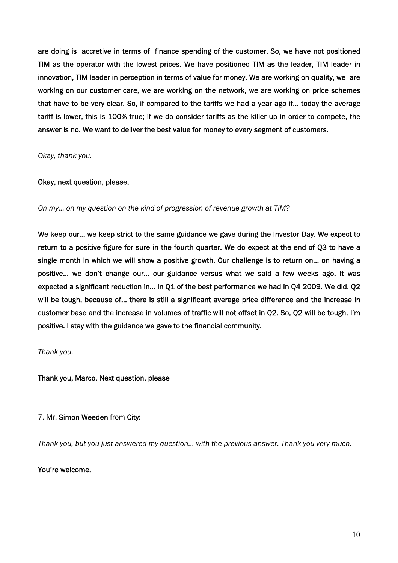are doing is accretive in terms of finance spending of the customer. So, we have not positioned TIM as the operator with the lowest prices. We have positioned TIM as the leader, TIM leader in innovation, TIM leader in perception in terms of value for money. We are working on quality, we are working on our customer care, we are working on the network, we are working on price schemes that have to be very clear. So, if compared to the tariffs we had a year ago if… today the average tariff is lower, this is 100% true; if we do consider tariffs as the killer up in order to compete, the answer is no. We want to deliver the best value for money to every segment of customers.

*Okay, thank you.* 

## Okay, next question, please.

*On my… on my question on the kind of progression of revenue growth at TIM?* 

We keep our… we keep strict to the same guidance we gave during the Investor Day. We expect to return to a positive figure for sure in the fourth quarter. We do expect at the end of Q3 to have a single month in which we will show a positive growth. Our challenge is to return on... on having a positive… we don't change our… our guidance versus what we said a few weeks ago. It was expected a significant reduction in… in Q1 of the best performance we had in Q4 2009. We did. Q2 will be tough, because of… there is still a significant average price difference and the increase in customer base and the increase in volumes of traffic will not offset in Q2. So, Q2 will be tough. I'm positive. I stay with the guidance we gave to the financial community.

*Thank you.* 

Thank you, Marco. Next question, please

7. Mr. Simon Weeden from City:

*Thank you, but you just answered my question… with the previous answer. Thank you very much.* 

You're welcome.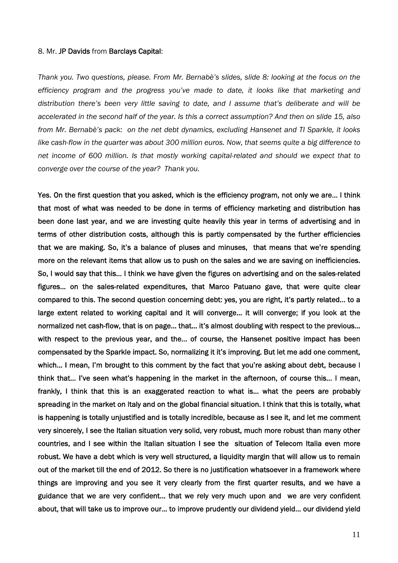#### 8. Mr. JP Davids from Barclays Capital:

*Thank you. Two questions, please. From Mr. Bernabè's slides, slide 8: looking at the focus on the efficiency program and the progress you've made to date, it looks like that marketing and distribution there's been very little saving to date, and I assume that's deliberate and will be accelerated in the second half of the year. Is this a correct assumption? And then on slide 15, also from Mr. Bernabè's pack: on the net debt dynamics, excluding Hansenet and TI Sparkle, it looks like cash-flow in the quarter was about 300 million euros. Now, that seems quite a big difference to net income of 600 million. Is that mostly working capital-related and should we expect that to converge over the course of the year? Thank you.* 

Yes. On the first question that you asked, which is the efficiency program, not only we are… I think that most of what was needed to be done in terms of efficiency marketing and distribution has been done last year, and we are investing quite heavily this year in terms of advertising and in terms of other distribution costs, although this is partly compensated by the further efficiencies that we are making. So, it's a balance of pluses and minuses, that means that we're spending more on the relevant items that allow us to push on the sales and we are saving on inefficiencies. So, I would say that this… I think we have given the figures on advertising and on the sales-related figures… on the sales-related expenditures, that Marco Patuano gave, that were quite clear compared to this. The second question concerning debt: yes, you are right, it's partly related… to a large extent related to working capital and it will converge… it will converge; if you look at the normalized net cash-flow, that is on page… that… it's almost doubling with respect to the previous… with respect to the previous year, and the… of course, the Hansenet positive impact has been compensated by the Sparkle impact. So, normalizing it it's improving. But let me add one comment, which... I mean, I'm brought to this comment by the fact that you're asking about debt, because I think that… I've seen what's happening in the market in the afternoon, of course this… I mean, frankly, I think that this is an exaggerated reaction to what is… what the peers are probably spreading in the market on Italy and on the global financial situation. I think that this is totally, what is happening is totally unjustified and is totally incredible, because as I see it, and let me comment very sincerely, I see the Italian situation very solid, very robust, much more robust than many other countries, and I see within the Italian situation I see the situation of Telecom Italia even more robust. We have a debt which is very well structured, a liquidity margin that will allow us to remain out of the market till the end of 2012. So there is no justification whatsoever in a framework where things are improving and you see it very clearly from the first quarter results, and we have a guidance that we are very confident… that we rely very much upon and we are very confident about, that will take us to improve our… to improve prudently our dividend yield… our dividend yield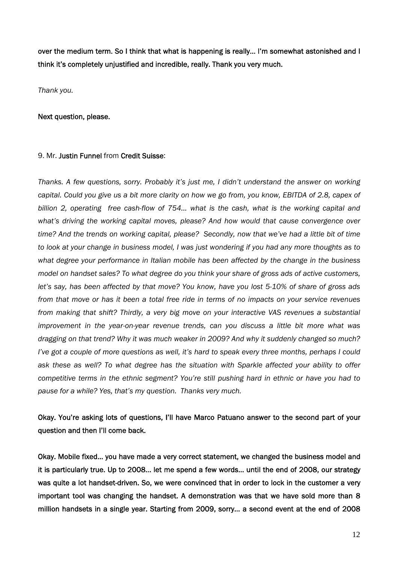over the medium term. So I think that what is happening is really… I'm somewhat astonished and I think it's completely unjustified and incredible, really. Thank you very much.

*Thank you.* 

#### Next question, please.

#### 9. Mr. Justin Funnel from Credit Suisse:

*Thanks. A few questions, sorry. Probably it's just me, I didn't understand the answer on working capital. Could you give us a bit more clarity on how we go from, you know, EBITDA of 2.8, capex of billion 2, operating free cash-flow of 754... what is the cash, what is the working capital and what's driving the working capital moves, please? And how would that cause convergence over time? And the trends on working capital, please? Secondly, now that we've had a little bit of time to look at your change in business model, I was just wondering if you had any more thoughts as to what degree your performance in Italian mobile has been affected by the change in the business model on handset sales? To what degree do you think your share of gross ads of active customers, let's say, has been affected by that move? You know, have you lost 5-10% of share of gross ads from that move or has it been a total free ride in terms of no impacts on your service revenues from making that shift? Thirdly, a very big move on your interactive VAS revenues a substantial improvement in the year-on-year revenue trends, can you discuss a little bit more what was dragging on that trend? Why it was much weaker in 2009? And why it suddenly changed so much? I've got a couple of more questions as well, it's hard to speak every three months, perhaps I could ask these as well? To what degree has the situation with Sparkle affected your ability to offer competitive terms in the ethnic segment? You're still pushing hard in ethnic or have you had to pause for a while? Yes, that's my question. Thanks very much.* 

## Okay. You're asking lots of questions, I'll have Marco Patuano answer to the second part of your question and then I'll come back.

Okay. Mobile fixed… you have made a very correct statement, we changed the business model and it is particularly true. Up to 2008… let me spend a few words… until the end of 2008, our strategy was quite a lot handset-driven. So, we were convinced that in order to lock in the customer a very important tool was changing the handset. A demonstration was that we have sold more than 8 million handsets in a single year. Starting from 2009, sorry… a second event at the end of 2008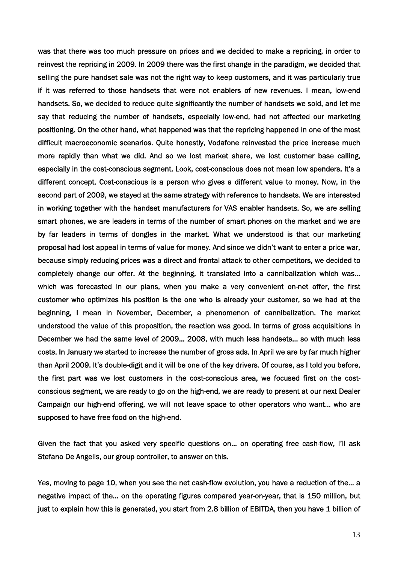was that there was too much pressure on prices and we decided to make a repricing, in order to reinvest the repricing in 2009. In 2009 there was the first change in the paradigm, we decided that selling the pure handset sale was not the right way to keep customers, and it was particularly true if it was referred to those handsets that were not enablers of new revenues. I mean, low-end handsets. So, we decided to reduce quite significantly the number of handsets we sold, and let me say that reducing the number of handsets, especially low-end, had not affected our marketing positioning. On the other hand, what happened was that the repricing happened in one of the most difficult macroeconomic scenarios. Quite honestly, Vodafone reinvested the price increase much more rapidly than what we did. And so we lost market share, we lost customer base calling, especially in the cost-conscious segment. Look, cost-conscious does not mean low spenders. It's a different concept. Cost-conscious is a person who gives a different value to money. Now, in the second part of 2009, we stayed at the same strategy with reference to handsets. We are interested in working together with the handset manufacturers for VAS enabler handsets. So, we are selling smart phones, we are leaders in terms of the number of smart phones on the market and we are by far leaders in terms of dongles in the market. What we understood is that our marketing proposal had lost appeal in terms of value for money. And since we didn't want to enter a price war, because simply reducing prices was a direct and frontal attack to other competitors, we decided to completely change our offer. At the beginning, it translated into a cannibalization which was… which was forecasted in our plans, when you make a very convenient on-net offer, the first customer who optimizes his position is the one who is already your customer, so we had at the beginning, I mean in November, December, a phenomenon of cannibalization. The market understood the value of this proposition, the reaction was good. In terms of gross acquisitions in December we had the same level of 2009… 2008, with much less handsets… so with much less costs. In January we started to increase the number of gross ads. In April we are by far much higher than April 2009. It's double-digit and it will be one of the key drivers. Of course, as I told you before, the first part was we lost customers in the cost-conscious area, we focused first on the costconscious segment, we are ready to go on the high-end, we are ready to present at our next Dealer Campaign our high-end offering, we will not leave space to other operators who want… who are supposed to have free food on the high-end.

Given the fact that you asked very specific questions on… on operating free cash-flow, I'll ask Stefano De Angelis, our group controller, to answer on this.

Yes, moving to page 10, when you see the net cash-flow evolution, you have a reduction of the… a negative impact of the… on the operating figures compared year-on-year, that is 150 million, but just to explain how this is generated, you start from 2.8 billion of EBITDA, then you have 1 billion of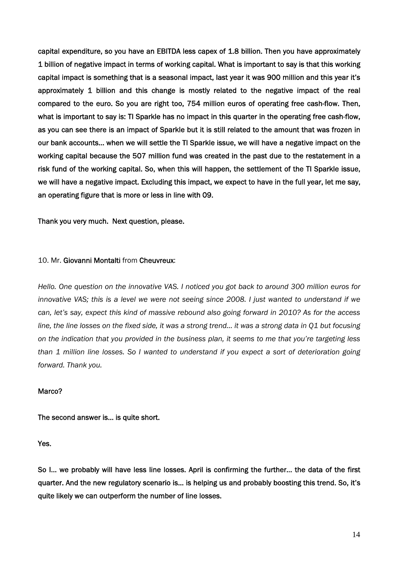capital expenditure, so you have an EBITDA less capex of 1.8 billion. Then you have approximately 1 billion of negative impact in terms of working capital. What is important to say is that this working capital impact is something that is a seasonal impact, last year it was 900 million and this year it's approximately 1 billion and this change is mostly related to the negative impact of the real compared to the euro. So you are right too, 754 million euros of operating free cash-flow. Then, what is important to say is: TI Sparkle has no impact in this quarter in the operating free cash-flow, as you can see there is an impact of Sparkle but it is still related to the amount that was frozen in our bank accounts… when we will settle the TI Sparkle issue, we will have a negative impact on the working capital because the 507 million fund was created in the past due to the restatement in a risk fund of the working capital. So, when this will happen, the settlement of the TI Sparkle issue, we will have a negative impact. Excluding this impact, we expect to have in the full year, let me say, an operating figure that is more or less in line with 09.

Thank you very much. Next question, please.

## 10. Mr. Giovanni Montalti from Cheuvreux:

*Hello. One question on the innovative VAS. I noticed you got back to around 300 million euros for innovative VAS; this is a level we were not seeing since 2008. I just wanted to understand if we can, let's say, expect this kind of massive rebound also going forward in 2010? As for the access line, the line losses on the fixed side, it was a strong trend… it was a strong data in Q1 but focusing on the indication that you provided in the business plan, it seems to me that you're targeting less than 1 million line losses. So I wanted to understand if you expect a sort of deterioration going forward. Thank you.* 

#### Marco?

The second answer is… is quite short.

Yes.

So I… we probably will have less line losses. April is confirming the further… the data of the first quarter. And the new regulatory scenario is… is helping us and probably boosting this trend. So, it's quite likely we can outperform the number of line losses.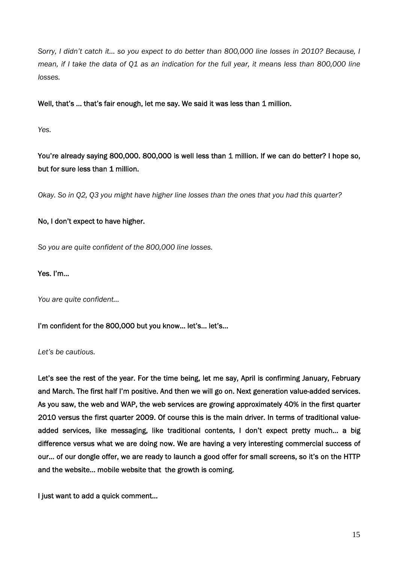*Sorry, I didn't catch it… so you expect to do better than 800,000 line losses in 2010? Because, I mean, if I take the data of Q1 as an indication for the full year, it means less than 800,000 line losses.* 

Well, that's ... that's fair enough, let me say. We said it was less than 1 million.

*Yes.* 

You're already saying 800,000. 800,000 is well less than 1 million. If we can do better? I hope so, but for sure less than 1 million.

*Okay. So in Q2, Q3 you might have higher line losses than the ones that you had this quarter?* 

## No, I don't expect to have higher.

*So you are quite confident of the 800,000 line losses.* 

Yes. I'm…

*You are quite confident…* 

I'm confident for the 800,000 but you know… let's… let's…

*Let's be cautious.* 

Let's see the rest of the year. For the time being, let me say, April is confirming January, February and March. The first half I'm positive. And then we will go on. Next generation value-added services. As you saw, the web and WAP, the web services are growing approximately 40% in the first quarter 2010 versus the first quarter 2009. Of course this is the main driver. In terms of traditional valueadded services, like messaging, like traditional contents, I don't expect pretty much… a big difference versus what we are doing now. We are having a very interesting commercial success of our… of our dongle offer, we are ready to launch a good offer for small screens, so it's on the HTTP and the website… mobile website that the growth is coming.

I just want to add a quick comment...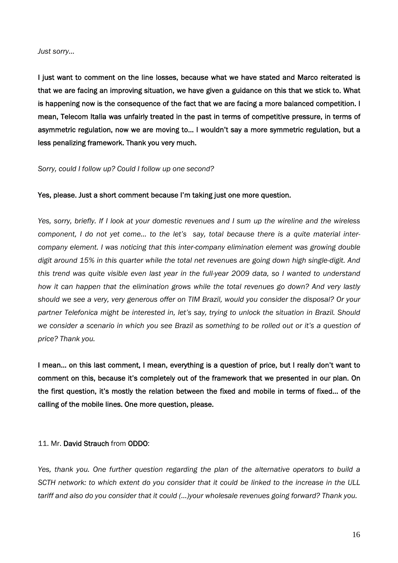#### *Just sorry…*

I just want to comment on the line losses, because what we have stated and Marco reiterated is that we are facing an improving situation, we have given a guidance on this that we stick to. What is happening now is the consequence of the fact that we are facing a more balanced competition. I mean, Telecom Italia was unfairly treated in the past in terms of competitive pressure, in terms of asymmetric regulation, now we are moving to… I wouldn't say a more symmetric regulation, but a less penalizing framework. Thank you very much.

#### *Sorry, could I follow up? Could I follow up one second?*

#### Yes, please. Just a short comment because I'm taking just one more question.

*Yes, sorry, briefly. If I look at your domestic revenues and I sum up the wireline and the wireless component, I do not yet come… to the let's say, total because there is a quite material intercompany element. I was noticing that this inter-company elimination element was growing double digit around 15% in this quarter while the total net revenues are going down high single-digit. And this trend was quite visible even last year in the full-year 2009 data, so I wanted to understand how it can happen that the elimination grows while the total revenues go down? And very lastly should we see a very, very generous offer on TIM Brazil, would you consider the disposal? Or your partner Telefonica might be interested in, let's say, trying to unlock the situation in Brazil. Should we consider a scenario in which you see Brazil as something to be rolled out or it's a question of price? Thank you.* 

I mean… on this last comment, I mean, everything is a question of price, but I really don't want to comment on this, because it's completely out of the framework that we presented in our plan. On the first question, it's mostly the relation between the fixed and mobile in terms of fixed… of the calling of the mobile lines. One more question, please.

## 11. Mr. David Strauch from ODDO:

*Yes, thank you. One further question regarding the plan of the alternative operators to build a SCTH network: to which extent do you consider that it could be linked to the increase in the ULL tariff and also do you consider that it could (…)your wholesale revenues going forward? Thank you.*